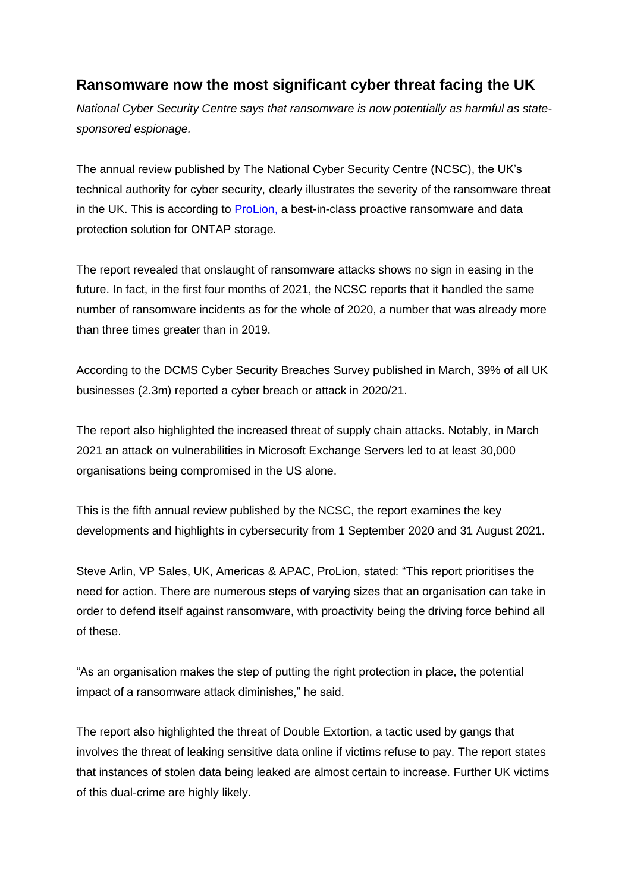## **Ransomware now the most significant cyber threat facing the UK**

*National Cyber Security Centre says that ransomware is now potentially as harmful as statesponsored espionage.*

The annual review published by The National Cyber Security Centre (NCSC), the UK's technical authority for cyber security, clearly illustrates the severity of the ransomware threat in the UK. This is according to [ProLion,](https://prolion.com/) a best-in-class proactive ransomware and data protection solution for ONTAP storage.

The report revealed that onslaught of ransomware attacks shows no sign in easing in the future. In fact, in the first four months of 2021, the NCSC reports that it handled the same number of ransomware incidents as for the whole of 2020, a number that was already more than three times greater than in 2019.

According to the DCMS Cyber Security Breaches Survey published in March, 39% of all UK businesses (2.3m) reported a cyber breach or attack in 2020/21.

The report also highlighted the increased threat of supply chain attacks. Notably, in March 2021 an attack on vulnerabilities in Microsoft Exchange Servers led to at least 30,000 organisations being compromised in the US alone.

This is the fifth annual review published by the NCSC, the report examines the key developments and highlights in cybersecurity from 1 September 2020 and 31 August 2021.

Steve Arlin, VP Sales, UK, Americas & APAC, ProLion, stated: "This report prioritises the need for action. There are numerous steps of varying sizes that an organisation can take in order to defend itself against ransomware, with proactivity being the driving force behind all of these.

"As an organisation makes the step of putting the right protection in place, the potential impact of a ransomware attack diminishes," he said.

The report also highlighted the threat of Double Extortion, a tactic used by gangs that involves the threat of leaking sensitive data online if victims refuse to pay. The report states that instances of stolen data being leaked are almost certain to increase. Further UK victims of this dual-crime are highly likely.